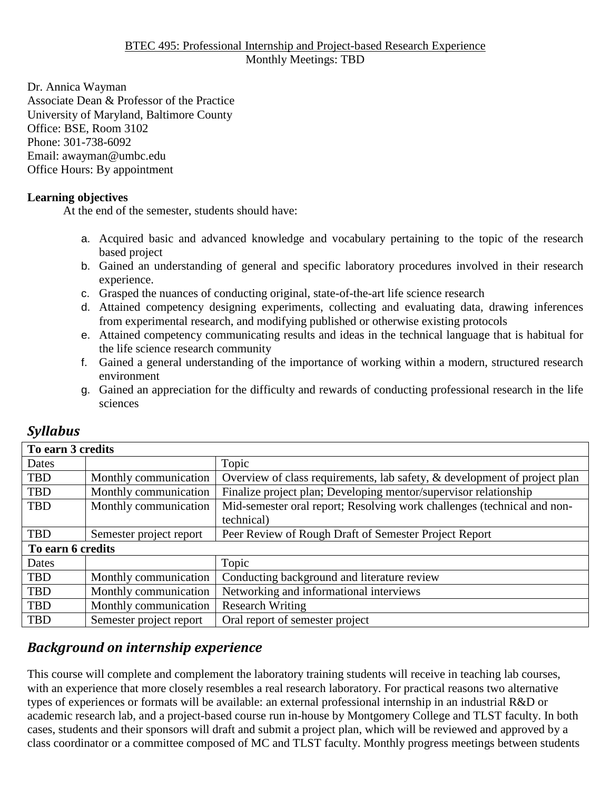#### BTEC 495: Professional Internship and Project-based Research Experience Monthly Meetings: TBD

Dr. Annica Wayman Associate Dean & Professor of the Practice University of Maryland, Baltimore County Office: BSE, Room 3102 Phone: 301-738-6092 Email: awayman@umbc.edu Office Hours: By appointment

#### **Learning objectives**

At the end of the semester, students should have:

- a. Acquired basic and advanced knowledge and vocabulary pertaining to the topic of the research based project
- b. Gained an understanding of general and specific laboratory procedures involved in their research experience.
- c. Grasped the nuances of conducting original, state-of-the-art life science research
- d. Attained competency designing experiments, collecting and evaluating data, drawing inferences from experimental research, and modifying published or otherwise existing protocols
- e. Attained competency communicating results and ideas in the technical language that is habitual for the life science research community
- f. Gained a general understanding of the importance of working within a modern, structured research environment
- g. Gained an appreciation for the difficulty and rewards of conducting professional research in the life sciences

| To earn 3 credits |                         |                                                                           |  |  |  |  |
|-------------------|-------------------------|---------------------------------------------------------------------------|--|--|--|--|
| Dates             |                         | Topic                                                                     |  |  |  |  |
| <b>TBD</b>        | Monthly communication   | Overview of class requirements, lab safety, & development of project plan |  |  |  |  |
| TBD               | Monthly communication   | Finalize project plan; Developing mentor/supervisor relationship          |  |  |  |  |
| <b>TBD</b>        | Monthly communication   | Mid-semester oral report; Resolving work challenges (technical and non-   |  |  |  |  |
|                   |                         | technical)                                                                |  |  |  |  |
| <b>TBD</b>        | Semester project report | Peer Review of Rough Draft of Semester Project Report                     |  |  |  |  |
| To earn 6 credits |                         |                                                                           |  |  |  |  |
| Dates             |                         | Topic                                                                     |  |  |  |  |
| <b>TBD</b>        | Monthly communication   | Conducting background and literature review                               |  |  |  |  |
| <b>TBD</b>        | Monthly communication   | Networking and informational interviews                                   |  |  |  |  |
| <b>TBD</b>        | Monthly communication   | <b>Research Writing</b>                                                   |  |  |  |  |
| <b>TBD</b>        | Semester project report | Oral report of semester project                                           |  |  |  |  |

## *Syllabus*

## *Background on internship experience*

This course will complete and complement the laboratory training students will receive in teaching lab courses, with an experience that more closely resembles a real research laboratory. For practical reasons two alternative types of experiences or formats will be available: an external professional internship in an industrial R&D or academic research lab, and a project-based course run in-house by Montgomery College and TLST faculty. In both cases, students and their sponsors will draft and submit a project plan, which will be reviewed and approved by a class coordinator or a committee composed of MC and TLST faculty. Monthly progress meetings between students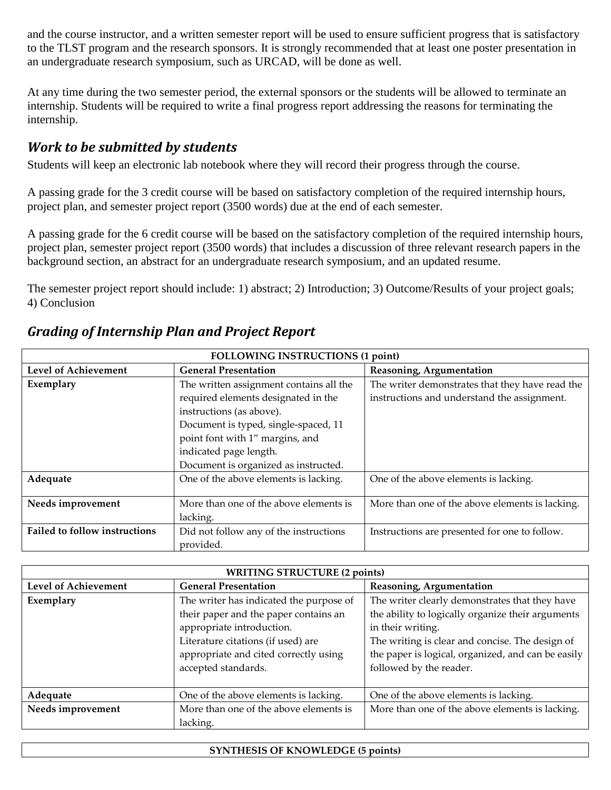and the course instructor, and a written semester report will be used to ensure sufficient progress that is satisfactory to the TLST program and the research sponsors. It is strongly recommended that at least one poster presentation in an undergraduate research symposium, such as URCAD, will be done as well.

At any time during the two semester period, the external sponsors or the students will be allowed to terminate an internship. Students will be required to write a final progress report addressing the reasons for terminating the internship.

# *Work to be submitted by students*

Students will keep an electronic lab notebook where they will record their progress through the course.

A passing grade for the 3 credit course will be based on satisfactory completion of the required internship hours, project plan, and semester project report (3500 words) due at the end of each semester.

A passing grade for the 6 credit course will be based on the satisfactory completion of the required internship hours, project plan, semester project report (3500 words) that includes a discussion of three relevant research papers in the background section, an abstract for an undergraduate research symposium, and an updated resume.

The semester project report should include: 1) abstract; 2) Introduction; 3) Outcome/Results of your project goals; 4) Conclusion

| <b>FOLLOWING INSTRUCTIONS (1 point)</b> |                                         |                                                 |  |  |
|-----------------------------------------|-----------------------------------------|-------------------------------------------------|--|--|
| <b>Level of Achievement</b>             | <b>General Presentation</b>             | Reasoning, Argumentation                        |  |  |
| Exemplary                               | The written assignment contains all the | The writer demonstrates that they have read the |  |  |
|                                         | required elements designated in the     | instructions and understand the assignment.     |  |  |
|                                         | instructions (as above).                |                                                 |  |  |
|                                         | Document is typed, single-spaced, 11    |                                                 |  |  |
|                                         | point font with 1" margins, and         |                                                 |  |  |
|                                         | indicated page length.                  |                                                 |  |  |
|                                         | Document is organized as instructed.    |                                                 |  |  |
| Adequate                                | One of the above elements is lacking.   | One of the above elements is lacking.           |  |  |
|                                         |                                         |                                                 |  |  |
| Needs improvement                       | More than one of the above elements is  | More than one of the above elements is lacking. |  |  |
|                                         | lacking.                                |                                                 |  |  |
| <b>Failed to follow instructions</b>    | Did not follow any of the instructions  | Instructions are presented for one to follow.   |  |  |
|                                         | provided.                               |                                                 |  |  |

#### *Grading of Internship Plan and Project Report*

| <b>WRITING STRUCTURE (2 points)</b> |                                         |                                                    |  |  |  |
|-------------------------------------|-----------------------------------------|----------------------------------------------------|--|--|--|
| <b>Level of Achievement</b>         | <b>General Presentation</b>             | Reasoning, Argumentation                           |  |  |  |
| Exemplary                           | The writer has indicated the purpose of | The writer clearly demonstrates that they have     |  |  |  |
|                                     | their paper and the paper contains an   | the ability to logically organize their arguments  |  |  |  |
|                                     | appropriate introduction.               | in their writing.                                  |  |  |  |
|                                     | Literature citations (if used) are      | The writing is clear and concise. The design of    |  |  |  |
|                                     | appropriate and cited correctly using   | the paper is logical, organized, and can be easily |  |  |  |
|                                     | accepted standards.                     | followed by the reader.                            |  |  |  |
|                                     |                                         |                                                    |  |  |  |
| Adequate                            | One of the above elements is lacking.   | One of the above elements is lacking.              |  |  |  |
| Needs improvement                   | More than one of the above elements is  | More than one of the above elements is lacking.    |  |  |  |
|                                     | lacking.                                |                                                    |  |  |  |